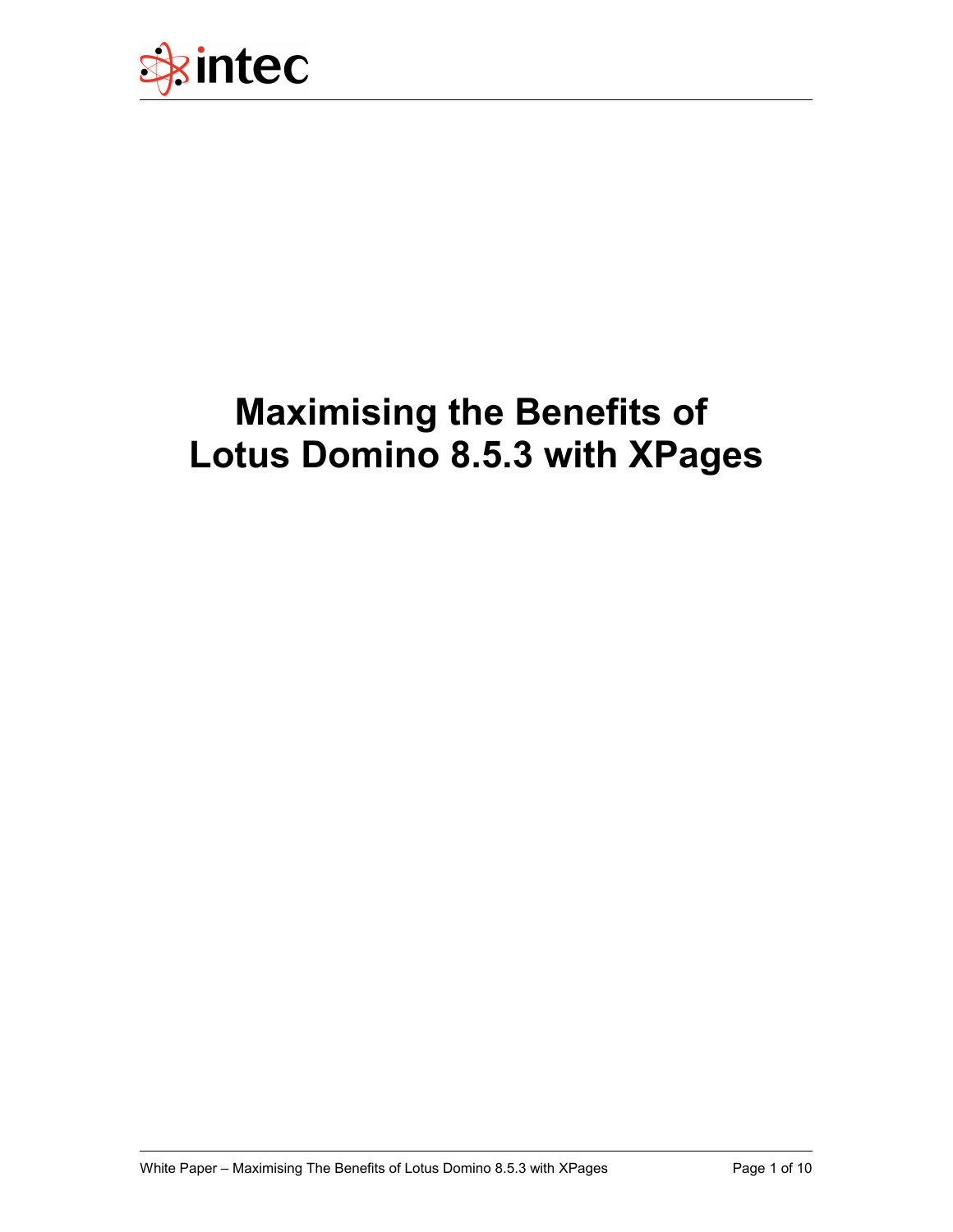

# **Maximising the Benefits of Lotus Domino 8.5.3 with XPages**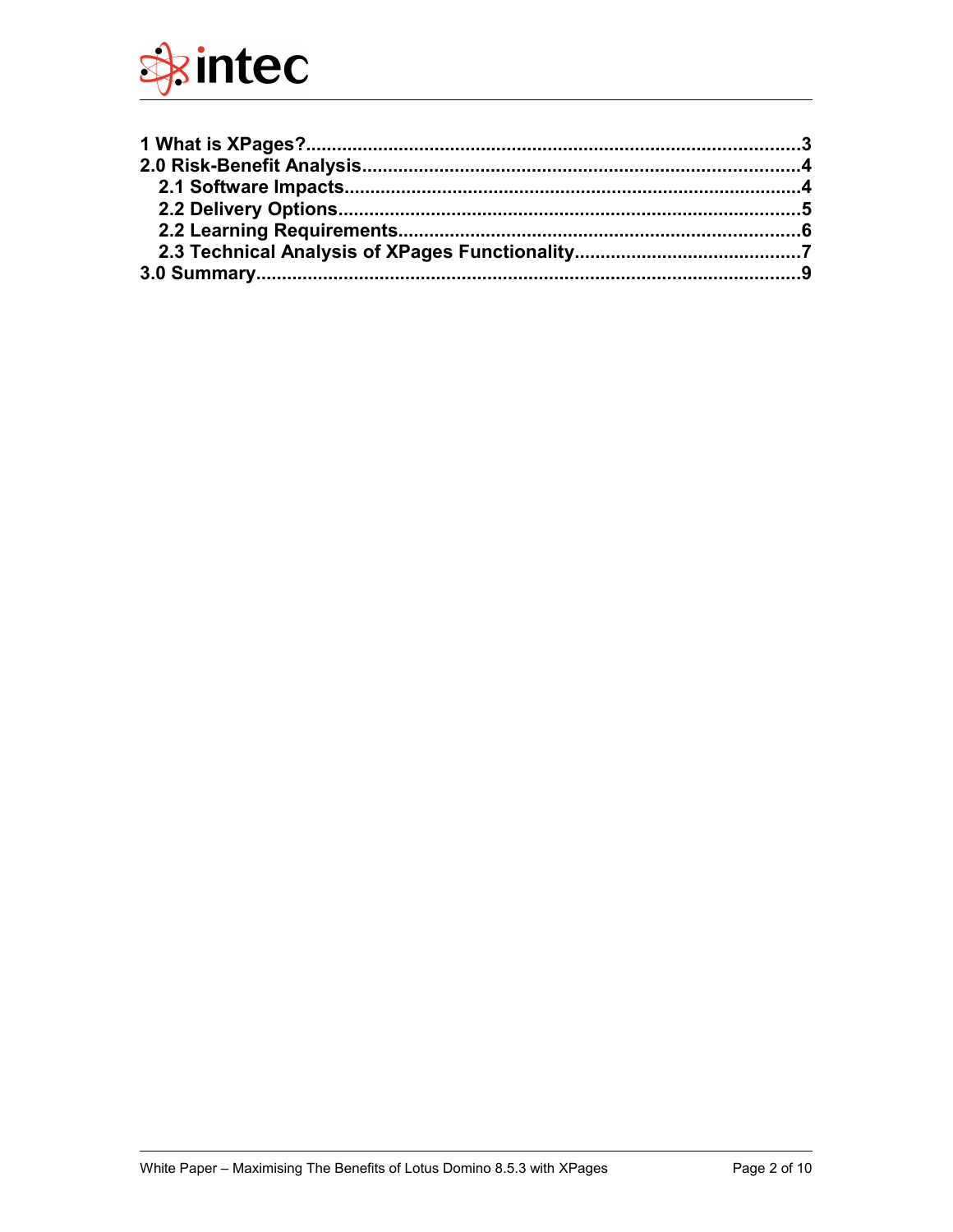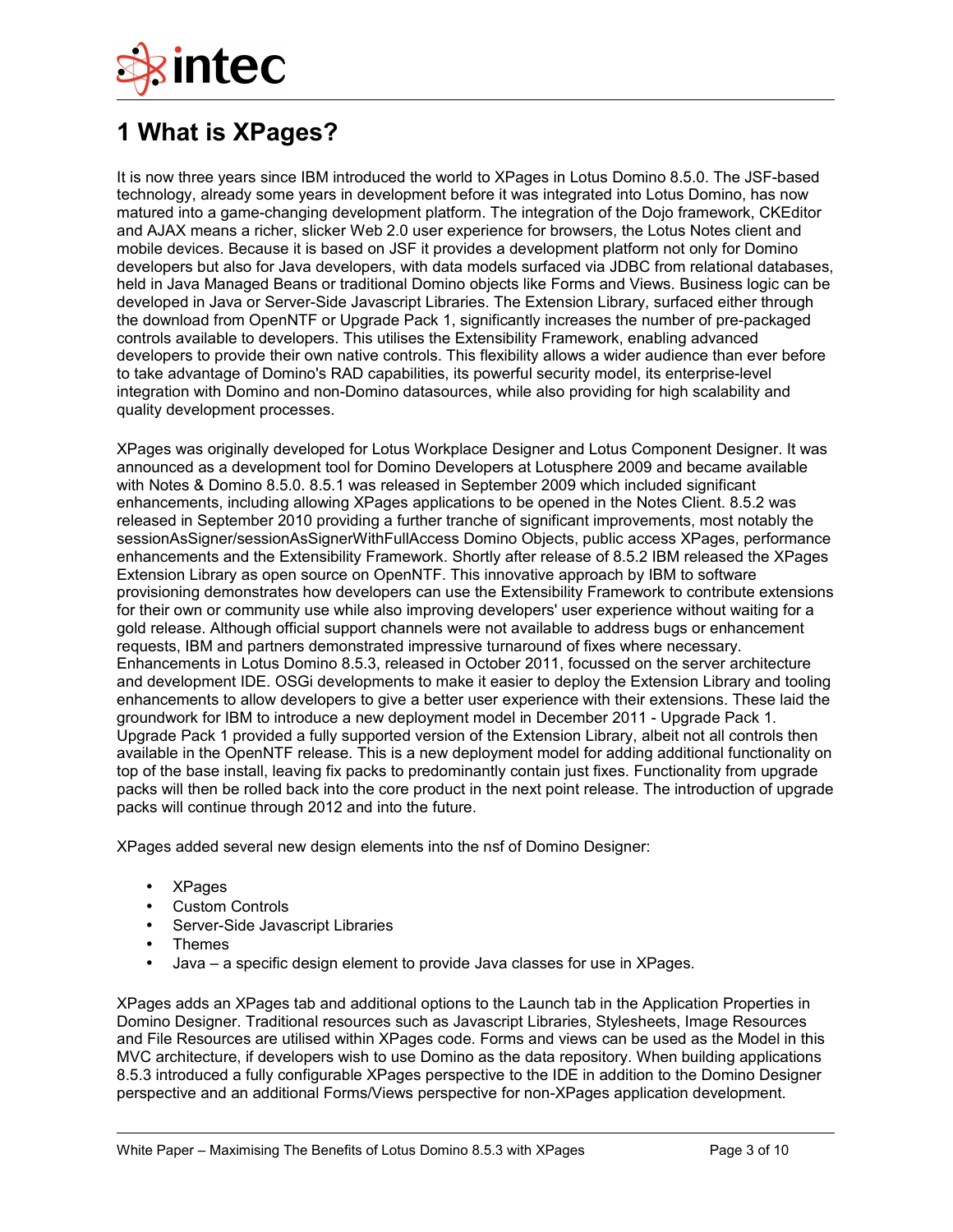

# **1 What is XPages?**

It is now three years since IBM introduced the world to XPages in Lotus Domino 8.5.0. The JSF-based technology, already some years in development before it was integrated into Lotus Domino, has now matured into a game-changing development platform. The integration of the Dojo framework, CKEditor and AJAX means a richer, slicker Web 2.0 user experience for browsers, the Lotus Notes client and mobile devices. Because it is based on JSF it provides a development platform not only for Domino developers but also for Java developers, with data models surfaced via JDBC from relational databases, held in Java Managed Beans or traditional Domino objects like Forms and Views. Business logic can be developed in Java or Server-Side Javascript Libraries. The Extension Library, surfaced either through the download from OpenNTF or Upgrade Pack 1, significantly increases the number of pre-packaged controls available to developers. This utilises the Extensibility Framework, enabling advanced developers to provide their own native controls. This flexibility allows a wider audience than ever before to take advantage of Domino's RAD capabilities, its powerful security model, its enterprise-level integration with Domino and non-Domino datasources, while also providing for high scalability and quality development processes.

XPages was originally developed for Lotus Workplace Designer and Lotus Component Designer. It was announced as a development tool for Domino Developers at Lotusphere 2009 and became available with Notes & Domino 8.5.0. 8.5.1 was released in September 2009 which included significant enhancements, including allowing XPages applications to be opened in the Notes Client. 8.5.2 was released in September 2010 providing a further tranche of significant improvements, most notably the sessionAsSigner/sessionAsSignerWithFullAccess Domino Objects, public access XPages, performance enhancements and the Extensibility Framework. Shortly after release of 8.5.2 IBM released the XPages Extension Library as open source on OpenNTF. This innovative approach by IBM to software provisioning demonstrates how developers can use the Extensibility Framework to contribute extensions for their own or community use while also improving developers' user experience without waiting for a gold release. Although official support channels were not available to address bugs or enhancement requests, IBM and partners demonstrated impressive turnaround of fixes where necessary. Enhancements in Lotus Domino 8.5.3, released in October 2011, focussed on the server architecture and development IDE. OSGi developments to make it easier to deploy the Extension Library and tooling enhancements to allow developers to give a better user experience with their extensions. These laid the groundwork for IBM to introduce a new deployment model in December 2011 - Upgrade Pack 1. Upgrade Pack 1 provided a fully supported version of the Extension Library, albeit not all controls then available in the OpenNTF release. This is a new deployment model for adding additional functionality on top of the base install, leaving fix packs to predominantly contain just fixes. Functionality from upgrade packs will then be rolled back into the core product in the next point release. The introduction of upgrade packs will continue through 2012 and into the future.

XPages added several new design elements into the nsf of Domino Designer:

- XPages
- Custom Controls
- Server-Side Javascript Libraries
- Themes
- Java a specific design element to provide Java classes for use in XPages.

XPages adds an XPages tab and additional options to the Launch tab in the Application Properties in Domino Designer. Traditional resources such as Javascript Libraries, Stylesheets, Image Resources and File Resources are utilised within XPages code. Forms and views can be used as the Model in this MVC architecture, if developers wish to use Domino as the data repository. When building applications 8.5.3 introduced a fully configurable XPages perspective to the IDE in addition to the Domino Designer perspective and an additional Forms/Views perspective for non-XPages application development.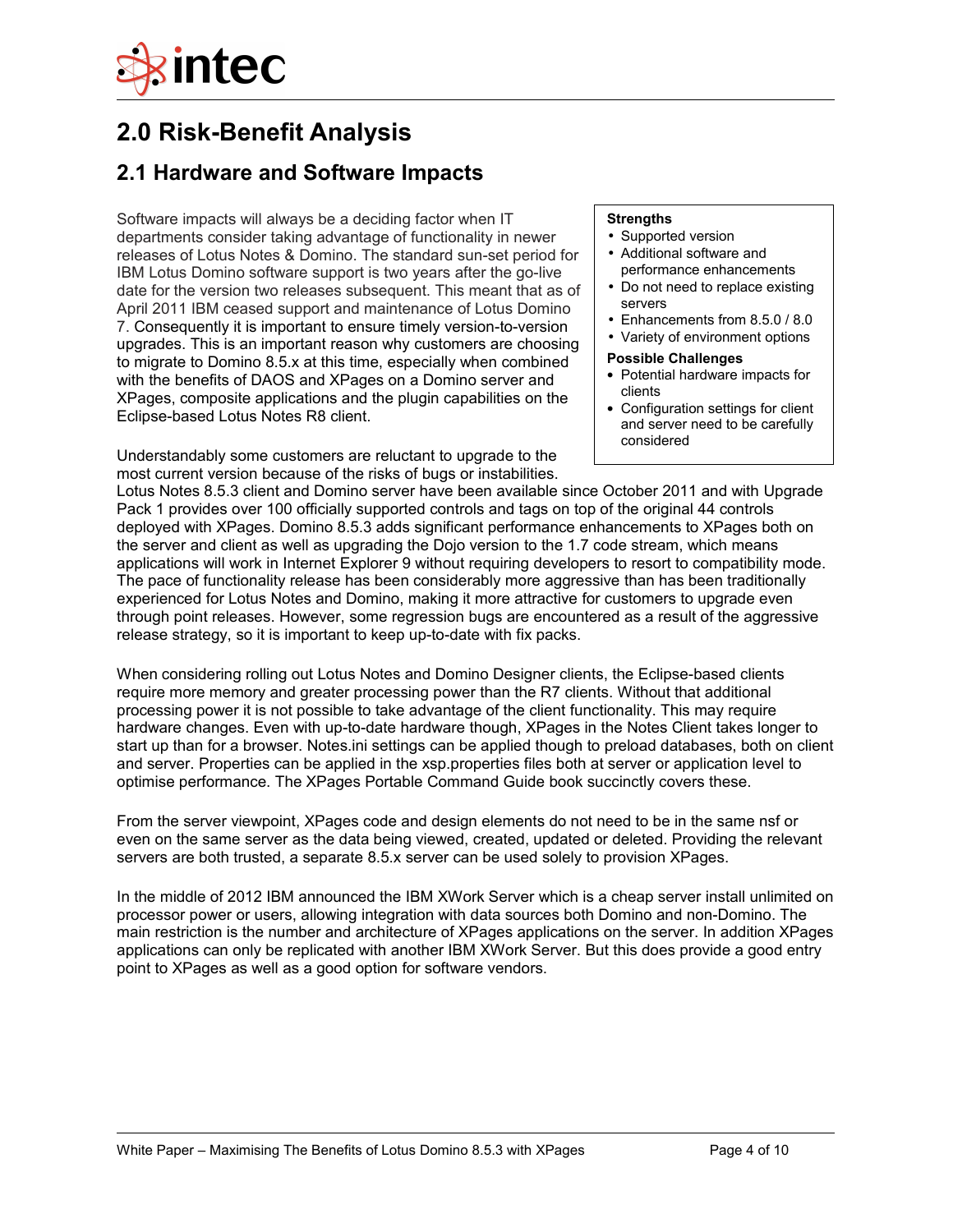

# **2.0 Risk-Benefit Analysis**

### **2.1 Hardware and Software Impacts**

Software impacts will always be a deciding factor when IT departments consider taking advantage of functionality in newer releases of Lotus Notes & Domino. The standard sun-set period for IBM Lotus Domino software support is two years after the go-live date for the version two releases subsequent. This meant that as of April 2011 IBM ceased support and maintenance of Lotus Domino 7. Consequently it is important to ensure timely version-to-version upgrades. This is an important reason why customers are choosing to migrate to Domino 8.5.x at this time, especially when combined with the benefits of DAOS and XPages on a Domino server and XPages, composite applications and the plugin capabilities on the Eclipse-based Lotus Notes R8 client.

Understandably some customers are reluctant to upgrade to the most current version because of the risks of bugs or instabilities.

#### **Strengths**

- Supported version
- Additional software and performance enhancements
- Do not need to replace existing servers
- Enhancements from 8.5.0 / 8.0
- Variety of environment options
- **Possible Challenges**
- Potential hardware impacts for clients
- Configuration settings for client and server need to be carefully considered

Lotus Notes 8.5.3 client and Domino server have been available since October 2011 and with Upgrade Pack 1 provides over 100 officially supported controls and tags on top of the original 44 controls deployed with XPages. Domino 8.5.3 adds significant performance enhancements to XPages both on the server and client as well as upgrading the Dojo version to the 1.7 code stream, which means applications will work in Internet Explorer 9 without requiring developers to resort to compatibility mode. The pace of functionality release has been considerably more aggressive than has been traditionally experienced for Lotus Notes and Domino, making it more attractive for customers to upgrade even through point releases. However, some regression bugs are encountered as a result of the aggressive release strategy, so it is important to keep up-to-date with fix packs.

When considering rolling out Lotus Notes and Domino Designer clients, the Eclipse-based clients require more memory and greater processing power than the R7 clients. Without that additional processing power it is not possible to take advantage of the client functionality. This may require hardware changes. Even with up-to-date hardware though, XPages in the Notes Client takes longer to start up than for a browser. Notes.ini settings can be applied though to preload databases, both on client and server. Properties can be applied in the xsp.properties files both at server or application level to optimise performance. The XPages Portable Command Guide book succinctly covers these.

From the server viewpoint, XPages code and design elements do not need to be in the same nsf or even on the same server as the data being viewed, created, updated or deleted. Providing the relevant servers are both trusted, a separate 8.5.x server can be used solely to provision XPages.

In the middle of 2012 IBM announced the IBM XWork Server which is a cheap server install unlimited on processor power or users, allowing integration with data sources both Domino and non-Domino. The main restriction is the number and architecture of XPages applications on the server. In addition XPages applications can only be replicated with another IBM XWork Server. But this does provide a good entry point to XPages as well as a good option for software vendors.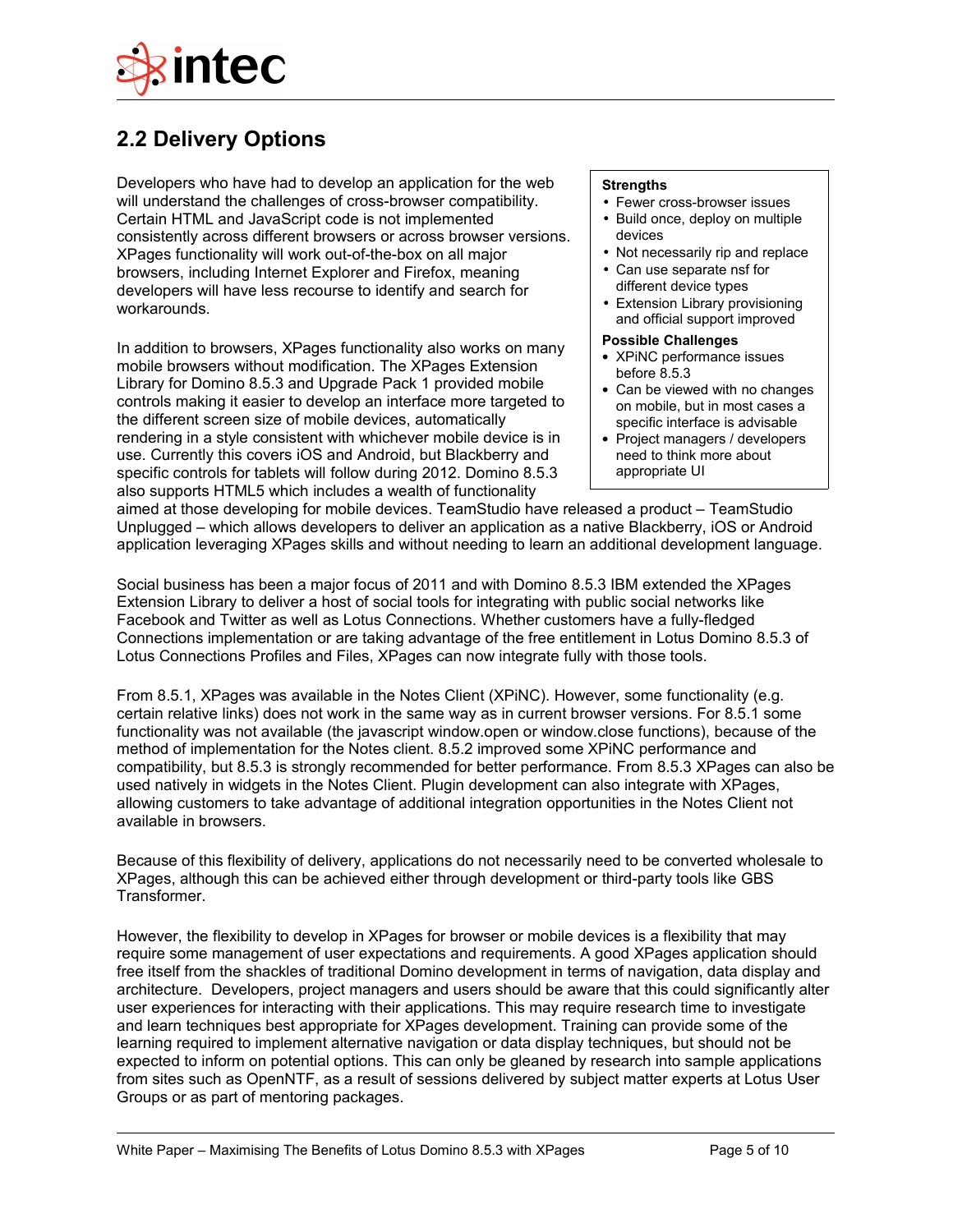

### **2.2 Delivery Options**

Developers who have had to develop an application for the web will understand the challenges of cross-browser compatibility. Certain HTML and JavaScript code is not implemented consistently across different browsers or across browser versions. XPages functionality will work out-of-the-box on all major browsers, including Internet Explorer and Firefox, meaning developers will have less recourse to identify and search for workarounds.

In addition to browsers, XPages functionality also works on many mobile browsers without modification. The XPages Extension Library for Domino 8.5.3 and Upgrade Pack 1 provided mobile controls making it easier to develop an interface more targeted to the different screen size of mobile devices, automatically rendering in a style consistent with whichever mobile device is in use. Currently this covers iOS and Android, but Blackberry and specific controls for tablets will follow during 2012. Domino 8.5.3 also supports HTML5 which includes a wealth of functionality

#### **Strengths**

- Fewer cross-browser issues
- Build once, deploy on multiple devices
- Not necessarily rip and replace • Can use separate nsf for
- different device types
- Extension Library provisioning and official support improved

### **Possible Challenges**

- XPiNC performance issues before 8.5.3
- Can be viewed with no changes on mobile, but in most cases a specific interface is advisable
- Project managers / developers need to think more about appropriate UI

aimed at those developing for mobile devices. TeamStudio have released a product – TeamStudio Unplugged – which allows developers to deliver an application as a native Blackberry, iOS or Android application leveraging XPages skills and without needing to learn an additional development language.

Social business has been a major focus of 2011 and with Domino 8.5.3 IBM extended the XPages Extension Library to deliver a host of social tools for integrating with public social networks like Facebook and Twitter as well as Lotus Connections. Whether customers have a fully-fledged Connections implementation or are taking advantage of the free entitlement in Lotus Domino 8.5.3 of Lotus Connections Profiles and Files, XPages can now integrate fully with those tools.

From 8.5.1, XPages was available in the Notes Client (XPiNC). However, some functionality (e.g. certain relative links) does not work in the same way as in current browser versions. For 8.5.1 some functionality was not available (the javascript window.open or window.close functions), because of the method of implementation for the Notes client. 8.5.2 improved some XPiNC performance and compatibility, but 8.5.3 is strongly recommended for better performance. From 8.5.3 XPages can also be used natively in widgets in the Notes Client. Plugin development can also integrate with XPages, allowing customers to take advantage of additional integration opportunities in the Notes Client not available in browsers.

Because of this flexibility of delivery, applications do not necessarily need to be converted wholesale to XPages, although this can be achieved either through development or third-party tools like GBS Transformer.

However, the flexibility to develop in XPages for browser or mobile devices is a flexibility that may require some management of user expectations and requirements. A good XPages application should free itself from the shackles of traditional Domino development in terms of navigation, data display and architecture. Developers, project managers and users should be aware that this could significantly alter user experiences for interacting with their applications. This may require research time to investigate and learn techniques best appropriate for XPages development. Training can provide some of the learning required to implement alternative navigation or data display techniques, but should not be expected to inform on potential options. This can only be gleaned by research into sample applications from sites such as OpenNTF, as a result of sessions delivered by subject matter experts at Lotus User Groups or as part of mentoring packages.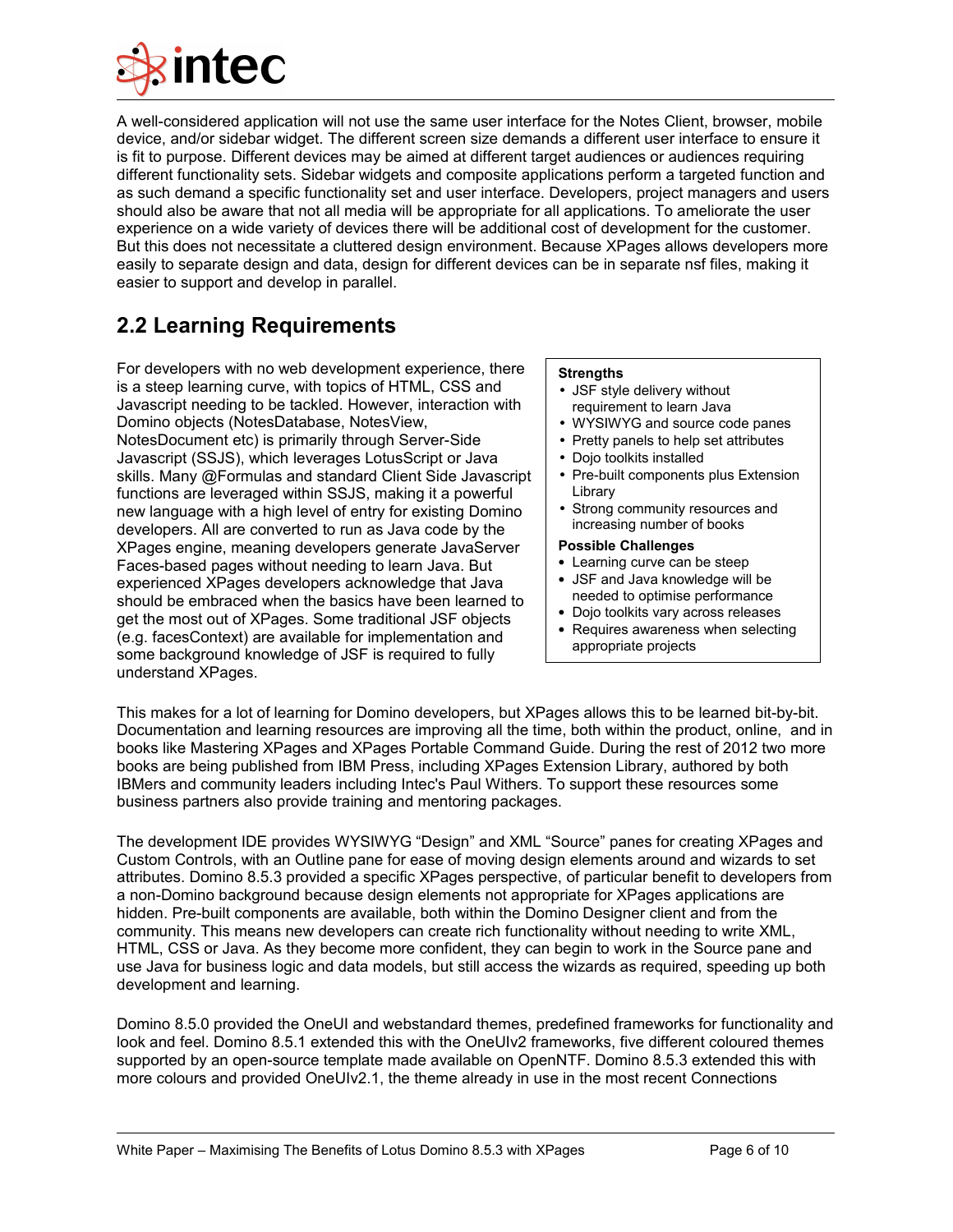

A well-considered application will not use the same user interface for the Notes Client, browser, mobile device, and/or sidebar widget. The different screen size demands a different user interface to ensure it is fit to purpose. Different devices may be aimed at different target audiences or audiences requiring different functionality sets. Sidebar widgets and composite applications perform a targeted function and as such demand a specific functionality set and user interface. Developers, project managers and users should also be aware that not all media will be appropriate for all applications. To ameliorate the user experience on a wide variety of devices there will be additional cost of development for the customer. But this does not necessitate a cluttered design environment. Because XPages allows developers more easily to separate design and data, design for different devices can be in separate nsf files, making it easier to support and develop in parallel.

### **2.2 Learning Requirements**

For developers with no web development experience, there is a steep learning curve, with topics of HTML, CSS and Javascript needing to be tackled. However, interaction with Domino objects (NotesDatabase, NotesView, NotesDocument etc) is primarily through Server-Side Javascript (SSJS), which leverages LotusScript or Java skills. Many @Formulas and standard Client Side Javascript functions are leveraged within SSJS, making it a powerful new language with a high level of entry for existing Domino developers. All are converted to run as Java code by the XPages engine, meaning developers generate JavaServer Faces-based pages without needing to learn Java. But experienced XPages developers acknowledge that Java should be embraced when the basics have been learned to get the most out of XPages. Some traditional JSF objects (e.g. facesContext) are available for implementation and some background knowledge of JSF is required to fully understand XPages.

### **Strengths**

- JSF style delivery without requirement to learn Java
- WYSIWYG and source code panes
- Pretty panels to help set attributes
- Dojo toolkits installed
- Pre-built components plus Extension Library
- Strong community resources and increasing number of books

### **Possible Challenges**

- Learning curve can be steep
- JSF and Java knowledge will be needed to optimise performance
- Dojo toolkits vary across releases
- Requires awareness when selecting appropriate projects

This makes for a lot of learning for Domino developers, but XPages allows this to be learned bit-by-bit. Documentation and learning resources are improving all the time, both within the product, online, and in books like Mastering XPages and XPages Portable Command Guide. During the rest of 2012 two more books are being published from IBM Press, including XPages Extension Library, authored by both IBMers and community leaders including Intec's Paul Withers. To support these resources some business partners also provide training and mentoring packages.

The development IDE provides WYSIWYG "Design" and XML "Source" panes for creating XPages and Custom Controls, with an Outline pane for ease of moving design elements around and wizards to set attributes. Domino 8.5.3 provided a specific XPages perspective, of particular benefit to developers from a non-Domino background because design elements not appropriate for XPages applications are hidden. Pre-built components are available, both within the Domino Designer client and from the community. This means new developers can create rich functionality without needing to write XML, HTML, CSS or Java. As they become more confident, they can begin to work in the Source pane and use Java for business logic and data models, but still access the wizards as required, speeding up both development and learning.

Domino 8.5.0 provided the OneUI and webstandard themes, predefined frameworks for functionality and look and feel. Domino 8.5.1 extended this with the OneUIv2 frameworks, five different coloured themes supported by an open-source template made available on OpenNTF. Domino 8.5.3 extended this with more colours and provided OneUIv2.1, the theme already in use in the most recent Connections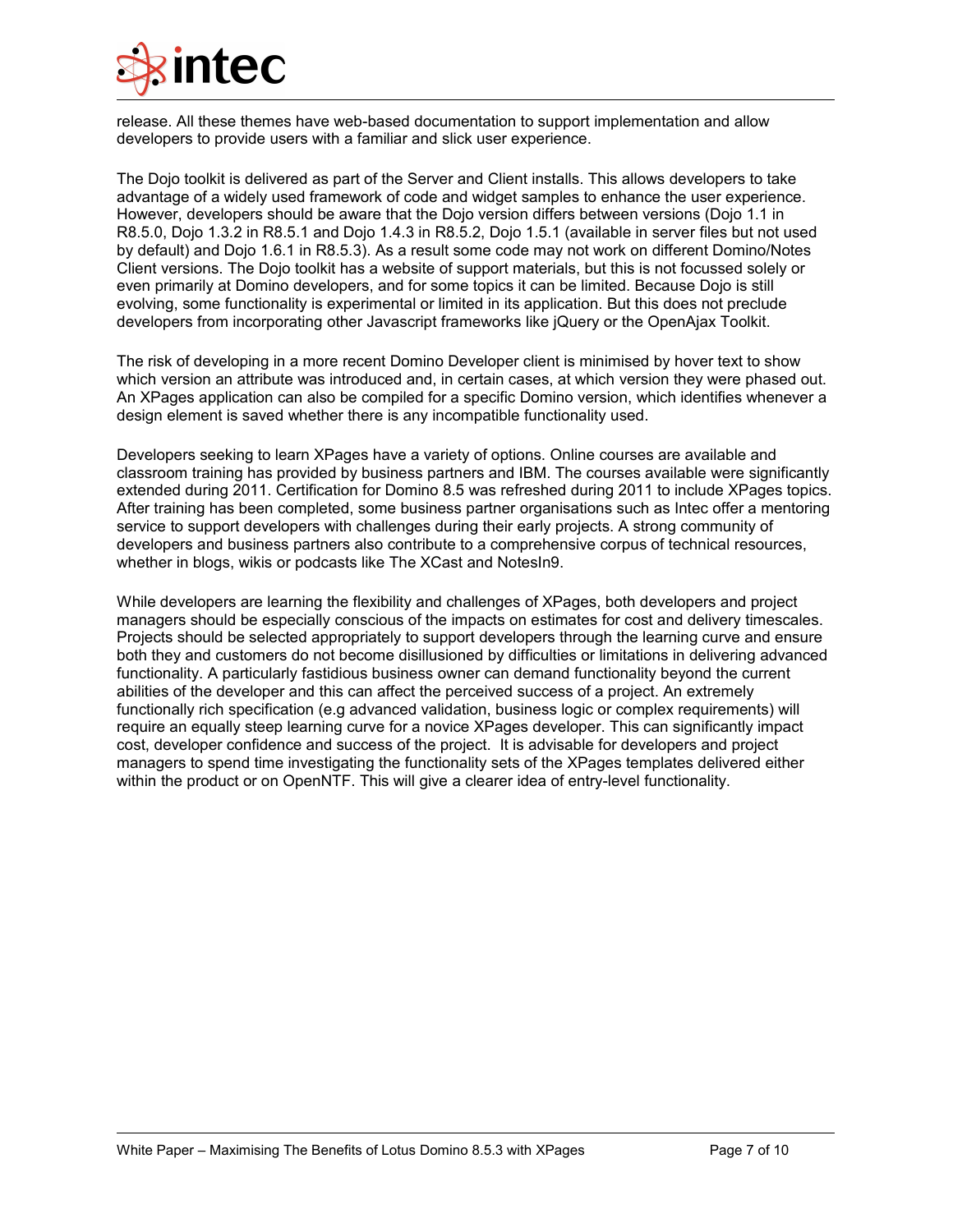

release. All these themes have web-based documentation to support implementation and allow developers to provide users with a familiar and slick user experience.

The Dojo toolkit is delivered as part of the Server and Client installs. This allows developers to take advantage of a widely used framework of code and widget samples to enhance the user experience. However, developers should be aware that the Dojo version differs between versions (Dojo 1.1 in R8.5.0, Dojo 1.3.2 in R8.5.1 and Dojo 1.4.3 in R8.5.2, Dojo 1.5.1 (available in server files but not used by default) and Dojo 1.6.1 in R8.5.3). As a result some code may not work on different Domino/Notes Client versions. The Dojo toolkit has a website of support materials, but this is not focussed solely or even primarily at Domino developers, and for some topics it can be limited. Because Dojo is still evolving, some functionality is experimental or limited in its application. But this does not preclude developers from incorporating other Javascript frameworks like jQuery or the OpenAjax Toolkit.

The risk of developing in a more recent Domino Developer client is minimised by hover text to show which version an attribute was introduced and, in certain cases, at which version they were phased out. An XPages application can also be compiled for a specific Domino version, which identifies whenever a design element is saved whether there is any incompatible functionality used.

Developers seeking to learn XPages have a variety of options. Online courses are available and classroom training has provided by business partners and IBM. The courses available were significantly extended during 2011. Certification for Domino 8.5 was refreshed during 2011 to include XPages topics. After training has been completed, some business partner organisations such as Intec offer a mentoring service to support developers with challenges during their early projects. A strong community of developers and business partners also contribute to a comprehensive corpus of technical resources, whether in blogs, wikis or podcasts like The XCast and NotesIn9.

While developers are learning the flexibility and challenges of XPages, both developers and project managers should be especially conscious of the impacts on estimates for cost and delivery timescales. Projects should be selected appropriately to support developers through the learning curve and ensure both they and customers do not become disillusioned by difficulties or limitations in delivering advanced functionality. A particularly fastidious business owner can demand functionality beyond the current abilities of the developer and this can affect the perceived success of a project. An extremely functionally rich specification (e.g advanced validation, business logic or complex requirements) will require an equally steep learning curve for a novice XPages developer. This can significantly impact cost, developer confidence and success of the project. It is advisable for developers and project managers to spend time investigating the functionality sets of the XPages templates delivered either within the product or on OpenNTF. This will give a clearer idea of entry-level functionality.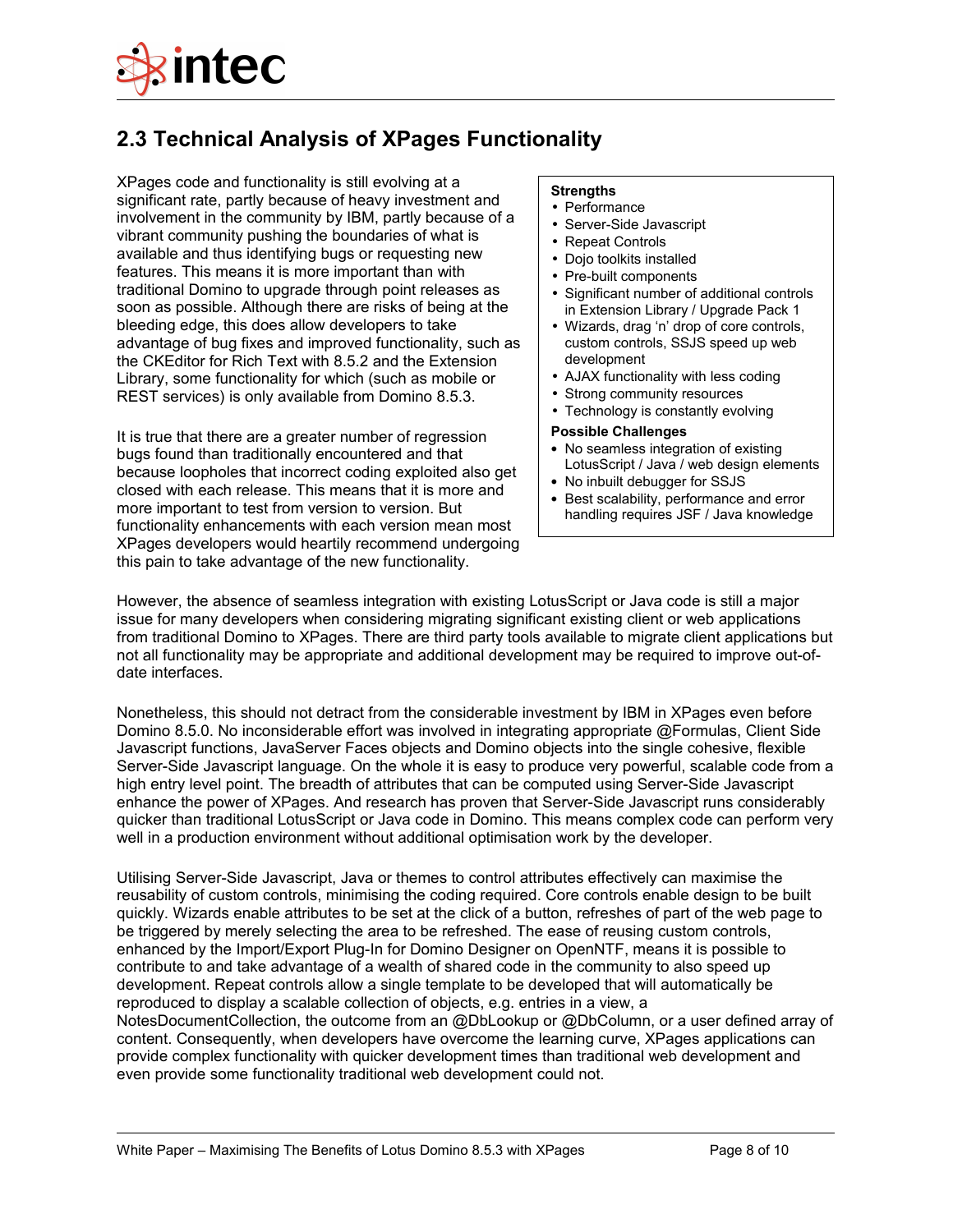

### **2.3 Technical Analysis of XPages Functionality**

XPages code and functionality is still evolving at a significant rate, partly because of heavy investment and involvement in the community by IBM, partly because of a vibrant community pushing the boundaries of what is available and thus identifying bugs or requesting new features. This means it is more important than with traditional Domino to upgrade through point releases as soon as possible. Although there are risks of being at the bleeding edge, this does allow developers to take advantage of bug fixes and improved functionality, such as the CKEditor for Rich Text with 8.5.2 and the Extension Library, some functionality for which (such as mobile or REST services) is only available from Domino 8.5.3.

It is true that there are a greater number of regression bugs found than traditionally encountered and that because loopholes that incorrect coding exploited also get closed with each release. This means that it is more and more important to test from version to version. But functionality enhancements with each version mean most XPages developers would heartily recommend undergoing this pain to take advantage of the new functionality.

#### **Strengths**

- Performance
- Server-Side Javascript
- Repeat Controls
- Dojo toolkits installed
- Pre-built components
- Significant number of additional controls in Extension Library / Upgrade Pack 1
- Wizards, drag 'n' drop of core controls, custom controls, SSJS speed up web development
- AJAX functionality with less coding
- Strong community resources
- Technology is constantly evolving

#### **Possible Challenges**

- No seamless integration of existing LotusScript / Java / web design elements
- No inbuilt debugger for SSJS
- Best scalability, performance and error handling requires JSF / Java knowledge

However, the absence of seamless integration with existing LotusScript or Java code is still a major issue for many developers when considering migrating significant existing client or web applications from traditional Domino to XPages. There are third party tools available to migrate client applications but not all functionality may be appropriate and additional development may be required to improve out-ofdate interfaces.

Nonetheless, this should not detract from the considerable investment by IBM in XPages even before Domino 8.5.0. No inconsiderable effort was involved in integrating appropriate @Formulas, Client Side Javascript functions, JavaServer Faces objects and Domino objects into the single cohesive, flexible Server-Side Javascript language. On the whole it is easy to produce very powerful, scalable code from a high entry level point. The breadth of attributes that can be computed using Server-Side Javascript enhance the power of XPages. And research has proven that Server-Side Javascript runs considerably quicker than traditional LotusScript or Java code in Domino. This means complex code can perform very well in a production environment without additional optimisation work by the developer.

Utilising Server-Side Javascript, Java or themes to control attributes effectively can maximise the reusability of custom controls, minimising the coding required. Core controls enable design to be built quickly. Wizards enable attributes to be set at the click of a button, refreshes of part of the web page to be triggered by merely selecting the area to be refreshed. The ease of reusing custom controls, enhanced by the Import/Export Plug-In for Domino Designer on OpenNTF, means it is possible to contribute to and take advantage of a wealth of shared code in the community to also speed up development. Repeat controls allow a single template to be developed that will automatically be reproduced to display a scalable collection of objects, e.g. entries in a view, a

NotesDocumentCollection, the outcome from an @DbLookup or @DbColumn, or a user defined array of content. Consequently, when developers have overcome the learning curve, XPages applications can provide complex functionality with quicker development times than traditional web development and even provide some functionality traditional web development could not.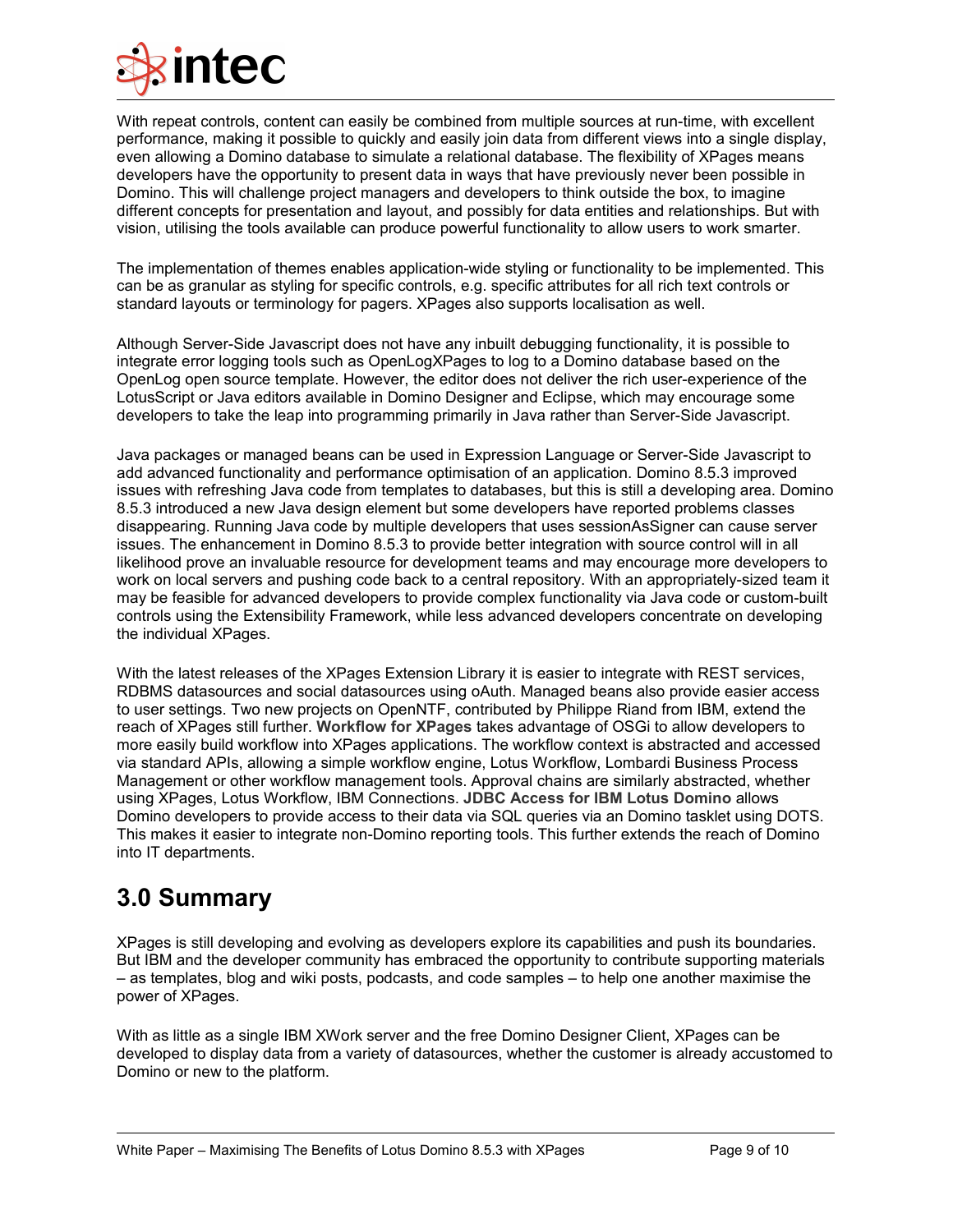

With repeat controls, content can easily be combined from multiple sources at run-time, with excellent performance, making it possible to quickly and easily join data from different views into a single display, even allowing a Domino database to simulate a relational database. The flexibility of XPages means developers have the opportunity to present data in ways that have previously never been possible in Domino. This will challenge project managers and developers to think outside the box, to imagine different concepts for presentation and layout, and possibly for data entities and relationships. But with vision, utilising the tools available can produce powerful functionality to allow users to work smarter.

The implementation of themes enables application-wide styling or functionality to be implemented. This can be as granular as styling for specific controls, e.g. specific attributes for all rich text controls or standard layouts or terminology for pagers. XPages also supports localisation as well.

Although Server-Side Javascript does not have any inbuilt debugging functionality, it is possible to integrate error logging tools such as OpenLogXPages to log to a Domino database based on the OpenLog open source template. However, the editor does not deliver the rich user-experience of the LotusScript or Java editors available in Domino Designer and Eclipse, which may encourage some developers to take the leap into programming primarily in Java rather than Server-Side Javascript.

Java packages or managed beans can be used in Expression Language or Server-Side Javascript to add advanced functionality and performance optimisation of an application. Domino 8.5.3 improved issues with refreshing Java code from templates to databases, but this is still a developing area. Domino 8.5.3 introduced a new Java design element but some developers have reported problems classes disappearing. Running Java code by multiple developers that uses sessionAsSigner can cause server issues. The enhancement in Domino 8.5.3 to provide better integration with source control will in all likelihood prove an invaluable resource for development teams and may encourage more developers to work on local servers and pushing code back to a central repository. With an appropriately-sized team it may be feasible for advanced developers to provide complex functionality via Java code or custom-built controls using the Extensibility Framework, while less advanced developers concentrate on developing the individual XPages.

With the latest releases of the XPages Extension Library it is easier to integrate with REST services, RDBMS datasources and social datasources using oAuth. Managed beans also provide easier access to user settings. Two new projects on OpenNTF, contributed by Philippe Riand from IBM, extend the reach of XPages still further. **[Workflow for XPages](http://www.openntf.org/Projects/pmt.nsf/ProjectLookup/Workflow%20for%20XPages)** takes advantage of OSGi to allow developers to more easily build workflow into XPages applications. The workflow context is abstracted and accessed via standard APIs, allowing a simple workflow engine, Lotus Workflow, Lombardi Business Process Management or other workflow management tools. Approval chains are similarly abstracted, whether using XPages, Lotus Workflow, IBM Connections. **[JDBC Access for IBM Lotus Domino](http://www.openntf.org/Projects/pmt.nsf/ProjectLookup/JDBC%20Access%20for%20IBM%20Lotus%20Domino)** allows Domino developers to provide access to their data via SQL queries via an Domino tasklet using DOTS. This makes it easier to integrate non-Domino reporting tools. This further extends the reach of Domino into IT departments.

## **3.0 Summary**

XPages is still developing and evolving as developers explore its capabilities and push its boundaries. But IBM and the developer community has embraced the opportunity to contribute supporting materials – as templates, blog and wiki posts, podcasts, and code samples – to help one another maximise the power of XPages.

With as little as a single IBM XWork server and the free Domino Designer Client, XPages can be developed to display data from a variety of datasources, whether the customer is already accustomed to Domino or new to the platform.